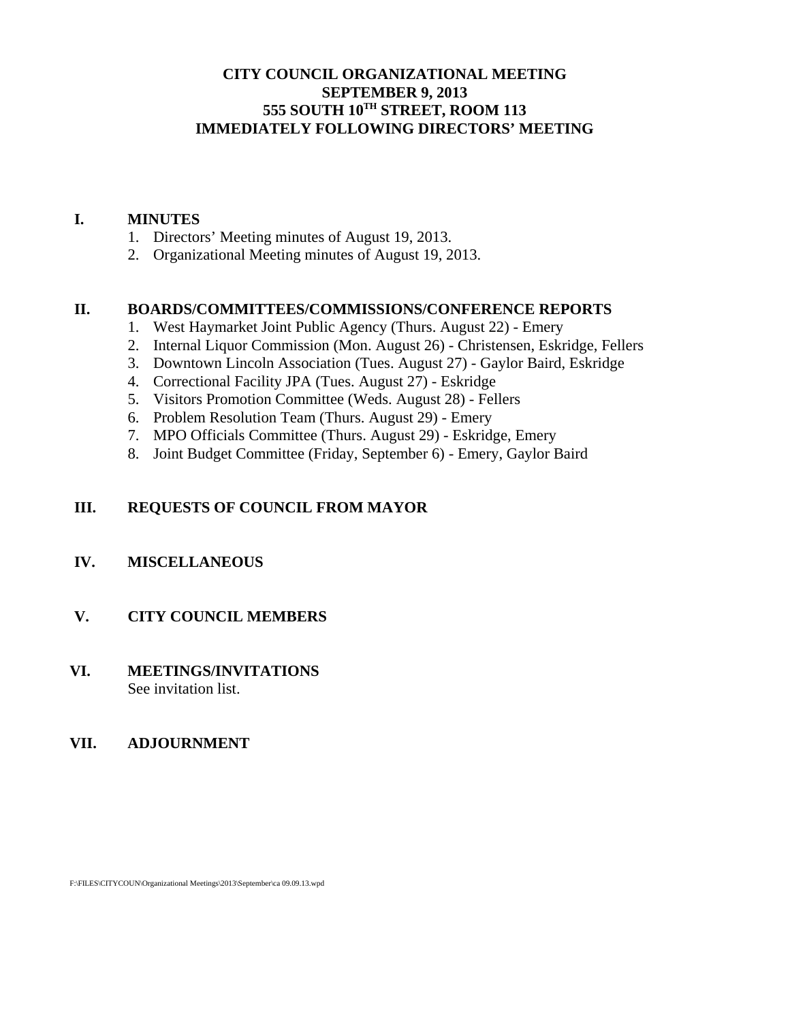## **CITY COUNCIL ORGANIZATIONAL MEETING SEPTEMBER 9, 2013 555 SOUTH 10TH STREET, ROOM 113 IMMEDIATELY FOLLOWING DIRECTORS' MEETING**

#### **I. MINUTES**

- 1. Directors' Meeting minutes of August 19, 2013.
- 2. Organizational Meeting minutes of August 19, 2013.

### **II. BOARDS/COMMITTEES/COMMISSIONS/CONFERENCE REPORTS**

- 1. West Haymarket Joint Public Agency (Thurs. August 22) Emery
- 2. Internal Liquor Commission (Mon. August 26) Christensen, Eskridge, Fellers
- 3. Downtown Lincoln Association (Tues. August 27) Gaylor Baird, Eskridge
- 4. Correctional Facility JPA (Tues. August 27) Eskridge
- 5. Visitors Promotion Committee (Weds. August 28) Fellers
- 6. Problem Resolution Team (Thurs. August 29) Emery
- 7. MPO Officials Committee (Thurs. August 29) Eskridge, Emery
- 8. Joint Budget Committee (Friday, September 6) Emery, Gaylor Baird

#### **III. REQUESTS OF COUNCIL FROM MAYOR**

### **IV. MISCELLANEOUS**

#### **V. CITY COUNCIL MEMBERS**

### **VI. MEETINGS/INVITATIONS** See invitation list.

#### **VII. ADJOURNMENT**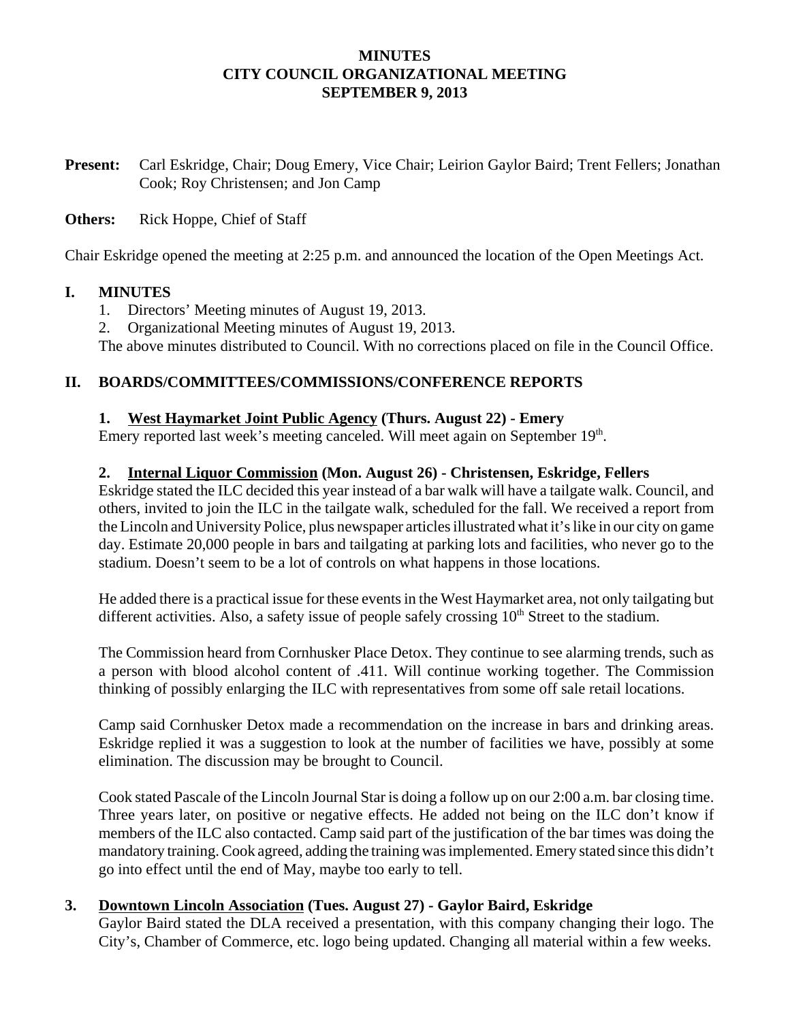### **MINUTES CITY COUNCIL ORGANIZATIONAL MEETING SEPTEMBER 9, 2013**

**Present:** Carl Eskridge, Chair; Doug Emery, Vice Chair; Leirion Gaylor Baird; Trent Fellers; Jonathan Cook; Roy Christensen; and Jon Camp

### **Others:** Rick Hoppe, Chief of Staff

Chair Eskridge opened the meeting at 2:25 p.m. and announced the location of the Open Meetings Act.

### **I. MINUTES**

- 1. Directors' Meeting minutes of August 19, 2013.
- 2. Organizational Meeting minutes of August 19, 2013.

The above minutes distributed to Council. With no corrections placed on file in the Council Office.

# **II. BOARDS/COMMITTEES/COMMISSIONS/CONFERENCE REPORTS**

### **1. West Haymarket Joint Public Agency (Thurs. August 22) - Emery**

Emery reported last week's meeting canceled. Will meet again on September 19<sup>th</sup>.

### **2. Internal Liquor Commission (Mon. August 26) - Christensen, Eskridge, Fellers**

Eskridge stated the ILC decided this year instead of a bar walk will have a tailgate walk. Council, and others, invited to join the ILC in the tailgate walk, scheduled for the fall. We received a report from the Lincoln and University Police, plus newspaper articles illustrated what it's like in our city on game day. Estimate 20,000 people in bars and tailgating at parking lots and facilities, who never go to the stadium. Doesn't seem to be a lot of controls on what happens in those locations.

He added there is a practical issue for these events in the West Haymarket area, not only tailgating but different activities. Also, a safety issue of people safely crossing  $10<sup>th</sup>$  Street to the stadium.

The Commission heard from Cornhusker Place Detox. They continue to see alarming trends, such as a person with blood alcohol content of .411. Will continue working together. The Commission thinking of possibly enlarging the ILC with representatives from some off sale retail locations.

Camp said Cornhusker Detox made a recommendation on the increase in bars and drinking areas. Eskridge replied it was a suggestion to look at the number of facilities we have, possibly at some elimination. The discussion may be brought to Council.

Cook stated Pascale of the Lincoln Journal Star is doing a follow up on our 2:00 a.m. bar closing time. Three years later, on positive or negative effects. He added not being on the ILC don't know if members of the ILC also contacted. Camp said part of the justification of the bar times was doing the mandatory training. Cook agreed, adding the training was implemented. Emery stated since this didn't go into effect until the end of May, maybe too early to tell.

## **3. Downtown Lincoln Association (Tues. August 27) - Gaylor Baird, Eskridge**

Gaylor Baird stated the DLA received a presentation, with this company changing their logo. The City's, Chamber of Commerce, etc. logo being updated. Changing all material within a few weeks.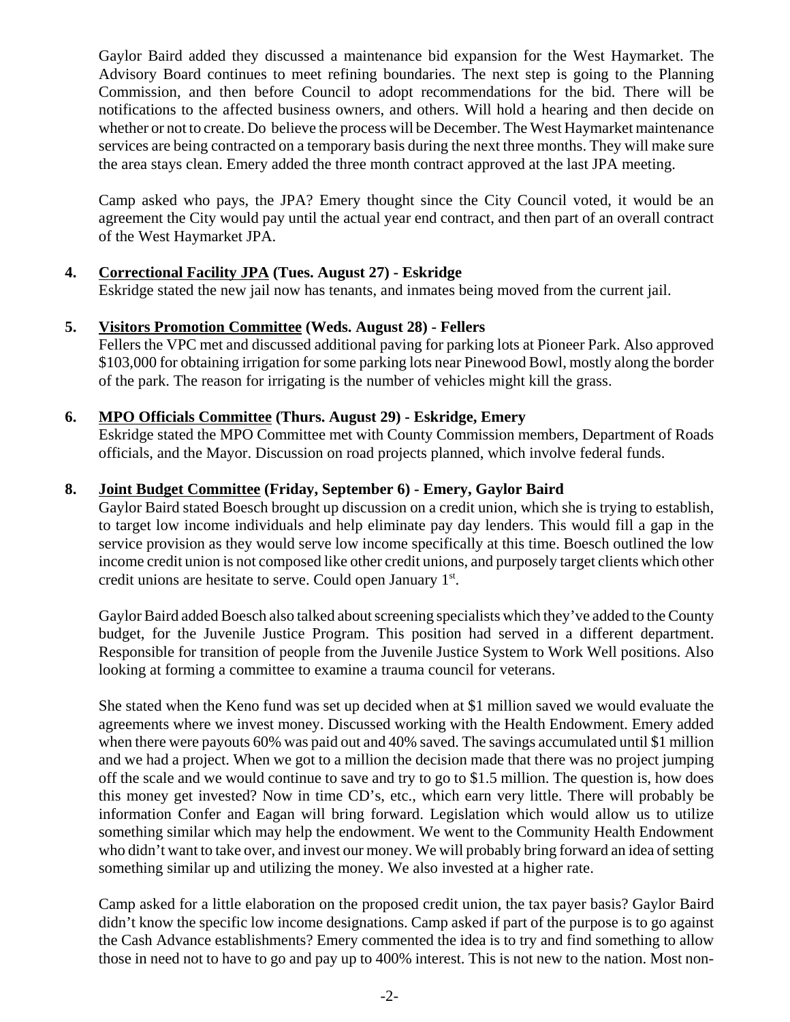Gaylor Baird added they discussed a maintenance bid expansion for the West Haymarket. The Advisory Board continues to meet refining boundaries. The next step is going to the Planning Commission, and then before Council to adopt recommendations for the bid. There will be notifications to the affected business owners, and others. Will hold a hearing and then decide on whether or not to create. Do believe the process will be December. The West Haymarket maintenance services are being contracted on a temporary basis during the next three months. They will make sure the area stays clean. Emery added the three month contract approved at the last JPA meeting.

Camp asked who pays, the JPA? Emery thought since the City Council voted, it would be an agreement the City would pay until the actual year end contract, and then part of an overall contract of the West Haymarket JPA.

# **4. Correctional Facility JPA (Tues. August 27) - Eskridge**

Eskridge stated the new jail now has tenants, and inmates being moved from the current jail.

## **5. Visitors Promotion Committee (Weds. August 28) - Fellers**

Fellers the VPC met and discussed additional paving for parking lots at Pioneer Park. Also approved \$103,000 for obtaining irrigation for some parking lots near Pinewood Bowl, mostly along the border of the park. The reason for irrigating is the number of vehicles might kill the grass.

## **6. MPO Officials Committee (Thurs. August 29) - Eskridge, Emery**

Eskridge stated the MPO Committee met with County Commission members, Department of Roads officials, and the Mayor. Discussion on road projects planned, which involve federal funds.

# **8. Joint Budget Committee (Friday, September 6) - Emery, Gaylor Baird**

Gaylor Baird stated Boesch brought up discussion on a credit union, which she is trying to establish, to target low income individuals and help eliminate pay day lenders. This would fill a gap in the service provision as they would serve low income specifically at this time. Boesch outlined the low income credit union is not composed like other credit unions, and purposely target clients which other credit unions are hesitate to serve. Could open January 1<sup>st</sup>.

Gaylor Baird added Boesch also talked about screening specialists which they've added to the County budget, for the Juvenile Justice Program. This position had served in a different department. Responsible for transition of people from the Juvenile Justice System to Work Well positions. Also looking at forming a committee to examine a trauma council for veterans.

She stated when the Keno fund was set up decided when at \$1 million saved we would evaluate the agreements where we invest money. Discussed working with the Health Endowment. Emery added when there were payouts 60% was paid out and 40% saved. The savings accumulated until \$1 million and we had a project. When we got to a million the decision made that there was no project jumping off the scale and we would continue to save and try to go to \$1.5 million. The question is, how does this money get invested? Now in time CD's, etc., which earn very little. There will probably be information Confer and Eagan will bring forward. Legislation which would allow us to utilize something similar which may help the endowment. We went to the Community Health Endowment who didn't want to take over, and invest our money. We will probably bring forward an idea of setting something similar up and utilizing the money. We also invested at a higher rate.

Camp asked for a little elaboration on the proposed credit union, the tax payer basis? Gaylor Baird didn't know the specific low income designations. Camp asked if part of the purpose is to go against the Cash Advance establishments? Emery commented the idea is to try and find something to allow those in need not to have to go and pay up to 400% interest. This is not new to the nation. Most non